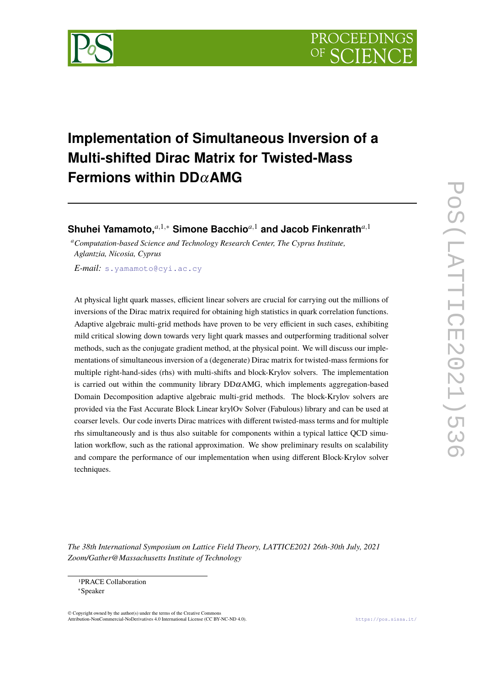

# **Implementation of Simultaneous Inversion of a Multi-shifted Dirac Matrix for Twisted-Mass Fermions within DD**α**AMG**

**Shuhei Yamamoto,***a*,1,<sup>∗</sup> **Simone Bacchio***a*,<sup>1</sup> **and Jacob Finkenrath***a*,<sup>1</sup>

*<sup>a</sup>Computation-based Science and Technology Research Center, The Cyprus Institute, Aglantzia, Nicosia, Cyprus*

*E-mail:* [s.yamamoto@cyi.ac.cy](mailto:s.yamamoto@cyi.ac.cy)

At physical light quark masses, efficient linear solvers are crucial for carrying out the millions of inversions of the Dirac matrix required for obtaining high statistics in quark correlation functions. Adaptive algebraic multi-grid methods have proven to be very efficient in such cases, exhibiting mild critical slowing down towards very light quark masses and outperforming traditional solver methods, such as the conjugate gradient method, at the physical point. We will discuss our implementations of simultaneous inversion of a (degenerate) Dirac matrix for twisted-mass fermions for multiple right-hand-sides (rhs) with multi-shifts and block-Krylov solvers. The implementation is carried out within the community library  $DD\alpha AMG$ , which implements aggregation-based Domain Decomposition adaptive algebraic multi-grid methods. The block-Krylov solvers are provided via the Fast Accurate Block Linear krylOv Solver (Fabulous) library and can be used at coarser levels. Our code inverts Dirac matrices with different twisted-mass terms and for multiple rhs simultaneously and is thus also suitable for components within a typical lattice QCD simulation workflow, such as the rational approximation. We show preliminary results on scalability and compare the performance of our implementation when using different Block-Krylov solver techniques.

*The 38th International Symposium on Lattice Field Theory, LATTICE2021 26th-30th July, 2021 Zoom/Gather@Massachusetts Institute of Technology*

© Copyright owned by the author(s) under the terms of the Creative Commons Attribution-NonCommercial-NoDerivatives 4.0 International License (CC BY-NC-ND 4.0). <https://pos.sissa.it/>

<sup>1</sup>PRACE Collaboration

<sup>∗</sup>Speaker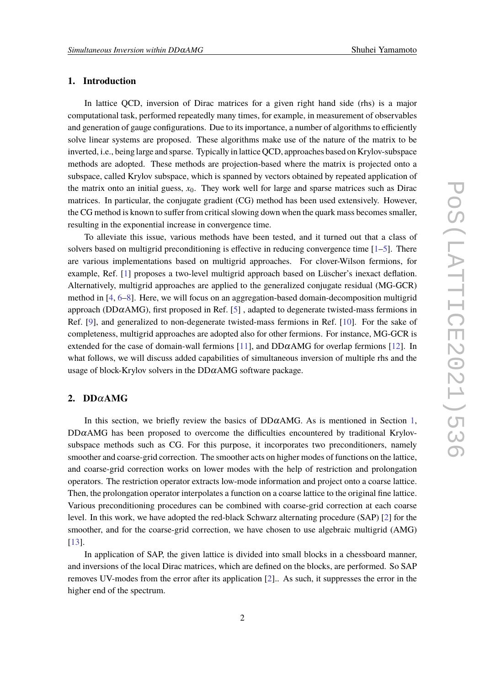# <span id="page-1-0"></span>**1. Introduction**

In lattice QCD, inversion of Dirac matrices for a given right hand side (rhs) is a major computational task, performed repeatedly many times, for example, in measurement of observables and generation of gauge configurations. Due to its importance, a number of algorithms to efficiently solve linear systems are proposed. These algorithms make use of the nature of the matrix to be inverted, i.e., being large and sparse. Typically in lattice QCD, approaches based on Krylov-subspace methods are adopted. These methods are projection-based where the matrix is projected onto a subspace, called Krylov subspace, which is spanned by vectors obtained by repeated application of the matrix onto an initial guess,  $x<sub>0</sub>$ . They work well for large and sparse matrices such as Dirac matrices. In particular, the conjugate gradient (CG) method has been used extensively. However, the CG method is known to suffer from critical slowing down when the quark mass becomes smaller, resulting in the exponential increase in convergence time.

To alleviate this issue, various methods have been tested, and it turned out that a class of solvers based on multigrid preconditioning is effective in reducing convergence time [\[1–](#page-7-0)[5\]](#page-8-0). There are various implementations based on multigrid approaches. For clover-Wilson fermions, for example, Ref. [\[1\]](#page-7-0) proposes a two-level multigrid approach based on Lüscher's inexact deflation. Alternatively, multigrid approaches are applied to the generalized conjugate residual (MG-GCR) method in [\[4,](#page-8-1) [6](#page-8-2)[–8\]](#page-8-3). Here, we will focus on an aggregation-based domain-decomposition multigrid approach ( $DD\alpha$ AMG), first proposed in Ref. [\[5\]](#page-8-0), adapted to degenerate twisted-mass fermions in Ref. [\[9\]](#page-8-4), and generalized to non-degenerate twisted-mass fermions in Ref. [\[10\]](#page-8-5). For the sake of completeness, multigrid approaches are adopted also for other fermions. For instance, MG-GCR is extended for the case of domain-wall fermions [\[11\]](#page-8-6), and  $DD\alpha$ AMG for overlap fermions [\[12\]](#page-8-7). In what follows, we will discuss added capabilities of simultaneous inversion of multiple rhs and the usage of block-Krylov solvers in the  $DD\alpha$ AMG software package.

## **2. DD**α**AMG**

In this section, we briefly review the basics of  $DD\alpha$ AMG. As is mentioned in Section [1,](#page-1-0)  $DD\alpha$ AMG has been proposed to overcome the difficulties encountered by traditional Krylovsubspace methods such as CG. For this purpose, it incorporates two preconditioners, namely smoother and coarse-grid correction. The smoother acts on higher modes of functions on the lattice, and coarse-grid correction works on lower modes with the help of restriction and prolongation operators. The restriction operator extracts low-mode information and project onto a coarse lattice. Then, the prolongation operator interpolates a function on a coarse lattice to the original fine lattice. Various preconditioning procedures can be combined with coarse-grid correction at each coarse level. In this work, we have adopted the red-black Schwarz alternating procedure (SAP) [\[2\]](#page-8-8) for the smoother, and for the coarse-grid correction, we have chosen to use algebraic multigrid (AMG) [\[13\]](#page-8-9).

In application of SAP, the given lattice is divided into small blocks in a chessboard manner, and inversions of the local Dirac matrices, which are defined on the blocks, are performed. So SAP removes UV-modes from the error after its application [\[2\]](#page-8-8).. As such, it suppresses the error in the higher end of the spectrum.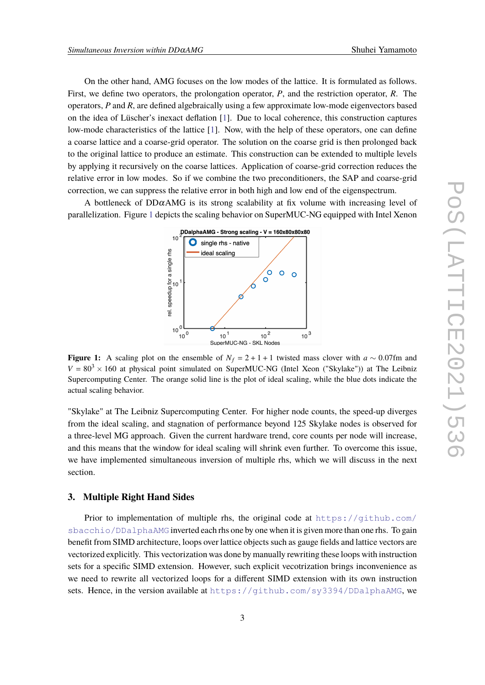On the other hand, AMG focuses on the low modes of the lattice. It is formulated as follows. First, we define two operators, the prolongation operator, *P*, and the restriction operator, *R*. The operators, *P* and *R*, are defined algebraically using a few approximate low-mode eigenvectors based on the idea of Lüscher's inexact deflation [\[1\]](#page-7-0). Due to local coherence, this construction captures low-mode characteristics of the lattice [\[1\]](#page-7-0). Now, with the help of these operators, one can define a coarse lattice and a coarse-grid operator. The solution on the coarse grid is then prolonged back to the original lattice to produce an estimate. This construction can be extended to multiple levels by applying it recursively on the coarse lattices. Application of coarse-grid correction reduces the relative error in low modes. So if we combine the two preconditioners, the SAP and coarse-grid correction, we can suppress the relative error in both high and low end of the eigenspectrum.

<span id="page-2-0"></span>A bottleneck of  $DD\alpha$ AMG is its strong scalability at fix volume with increasing level of parallelization. Figure [1](#page-2-0) depicts the scaling behavior on SuperMUC-NG equipped with Intel Xenon



**Figure 1:** A scaling plot on the ensemble of  $N_f = 2 + 1 + 1$  twisted mass clover with  $a \sim 0.07$ fm and  $V = 80<sup>3</sup> \times 160$  at physical point simulated on SuperMUC-NG (Intel Xeon ("Skylake")) at The Leibniz Supercomputing Center. The orange solid line is the plot of ideal scaling, while the blue dots indicate the actual scaling behavior.

"Skylake" at The Leibniz Supercomputing Center. For higher node counts, the speed-up diverges from the ideal scaling, and stagnation of performance beyond 125 Skylake nodes is observed for a three-level MG approach. Given the current hardware trend, core counts per node will increase, and this means that the window for ideal scaling will shrink even further. To overcome this issue, we have implemented simultaneous inversion of multiple rhs, which we will discuss in the next section.

## **3. Multiple Right Hand Sides**

Prior to implementation of multiple rhs, the original code at  $https://github.com/$ [sbacchio/DDalphaAMG](https://github.com/sbacchio/DDalphaAMG) inverted each rhs one by one when it is given more than one rhs. To gain benefit from SIMD architecture, loops over lattice objects such as gauge fields and lattice vectors are vectorized explicitly. This vectorization was done by manually rewriting these loops with instruction sets for a specific SIMD extension. However, such explicit vecotrization brings inconvenience as we need to rewrite all vectorized loops for a different SIMD extension with its own instruction sets. Hence, in the version available at <https://github.com/sy3394/DDalphaAMG>, we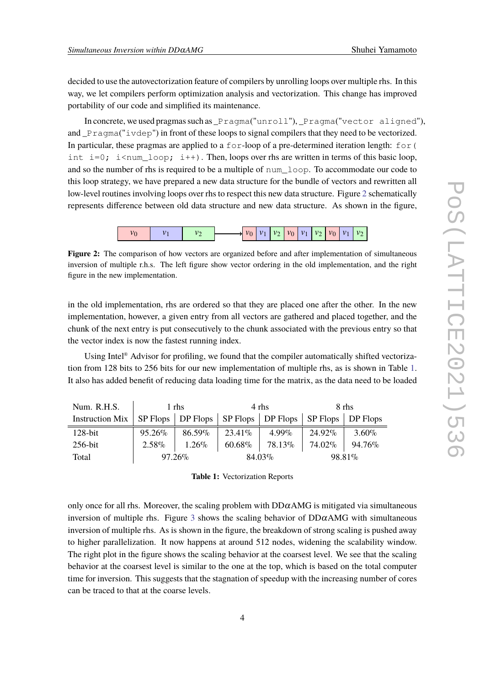decided to use the autovectorization feature of compilers by unrolling loops over multiple rhs. In this way, we let compilers perform optimization analysis and vectorization. This change has improved portability of our code and simplified its maintenance.

In concrete, we used pragmas such as \_Pragma("unroll"), \_Pragma("vector aligned"), and \_Pragma("ivdep") in front of these loops to signal compilers that they need to be vectorized. In particular, these pragmas are applied to a  $f \circ r$ -loop of a pre-determined iteration length:  $f \circ r$  ( int  $i=0$ ;  $i$ <num\_loop;  $i++$ ). Then, loops over rhs are written in terms of this basic loop, and so the number of rhs is required to be a multiple of num\_loop. To accommodate our code to this loop strategy, we have prepared a new data structure for the bundle of vectors and rewritten all low-level routines involving loops over rhs to respect this new data structure. Figure [2](#page-3-0) schematically represents difference between old data structure and new data structure. As shown in the figure,



<span id="page-3-0"></span>**Figure 2:** The comparison of how vectors are organized before and after implementation of simultaneous inversion of multiple r.h.s. The left figure show vector ordering in the old implementation, and the right figure in the new implementation.

in the old implementation, rhs are ordered so that they are placed one after the other. In the new implementation, however, a given entry from all vectors are gathered and placed together, and the chunk of the next entry is put consecutively to the chunk associated with the previous entry so that the vector index is now the fastest running index.

Using Intel<sup>®</sup> Advisor for profiling, we found that the compiler automatically shifted vectorization from 128 bits to 256 bits for our new implementation of multiple rhs, as is shown in Table [1.](#page-3-1) It also has added benefit of reducing data loading time for the matrix, as the data need to be loaded

<span id="page-3-1"></span>

| Num. R.H.S.                                                                       | 1 rhs     |          | 4 rhs   |                                         | 8 rhs   |          |
|-----------------------------------------------------------------------------------|-----------|----------|---------|-----------------------------------------|---------|----------|
| Instruction Mix   SP Flops   DP Flops   SP Flops   DP Flops   SP Flops   DP Flops |           |          |         |                                         |         |          |
| $128$ -bit                                                                        | 95.26%    | 86.59%   | 23.41\% | $4.99\%$                                | 24.92%  | $3.60\%$ |
| $256$ -bit                                                                        | $2.58\%$  | $1.26\%$ |         | $60.68\%$   78.13\%   74.02\%   94.76\% |         |          |
| Total                                                                             | $97.26\%$ |          | 84.03%  |                                         | 98.81\% |          |

**Table 1:** Vectorization Reports

only once for all rhs. Moreover, the scaling problem with  $DD\alpha$ AMG is mitigated via simultaneous inversion of multiple rhs. Figure [3](#page-4-0) shows the scaling behavior of  $DD\alpha$ AMG with simultaneous inversion of multiple rhs. As is shown in the figure, the breakdown of strong scaling is pushed away to higher parallelization. It now happens at around 512 nodes, widening the scalability window. The right plot in the figure shows the scaling behavior at the coarsest level. We see that the scaling behavior at the coarsest level is similar to the one at the top, which is based on the total computer time for inversion. This suggests that the stagnation of speedup with the increasing number of cores can be traced to that at the coarse levels.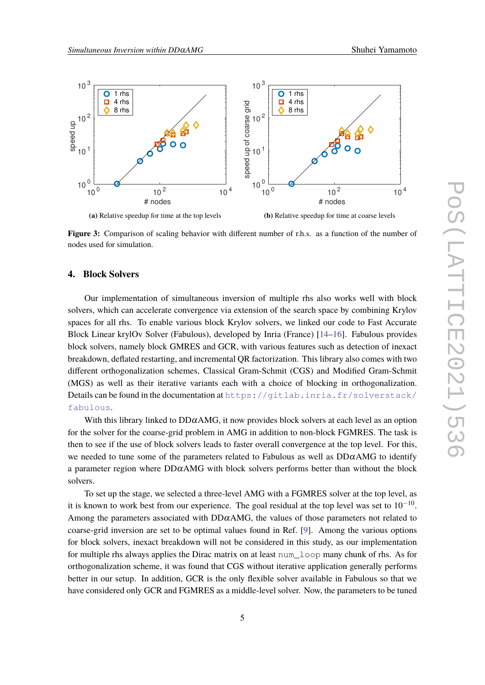<span id="page-4-0"></span>

**Figure 3:** Comparison of scaling behavior with different number of r.h.s. as a function of the number of nodes used for simulation.

## **4. Block Solvers**

Our implementation of simultaneous inversion of multiple rhs also works well with block solvers, which can accelerate convergence via extension of the search space by combining Krylov spaces for all rhs. To enable various block Krylov solvers, we linked our code to Fast Accurate Block Linear krylOv Solver (Fabulous), developed by Inria (France) [\[14–](#page-8-10)[16\]](#page-9-0). Fabulous provides block solvers, namely block GMRES and GCR, with various features such as detection of inexact breakdown, deflated restarting, and incremental QR factorization. This library also comes with two different orthogonalization schemes, Classical Gram-Schmit (CGS) and Modified Gram-Schmit (MGS) as well as their iterative variants each with a choice of blocking in orthogonalization. Details can be found in the documentation at [https://gitlab.inria.fr/solverstack/](https://gitlab.inria.fr/solverstack/fabulous) [fabulous](https://gitlab.inria.fr/solverstack/fabulous).

With this library linked to  $DD\alpha$ AMG, it now provides block solvers at each level as an option for the solver for the coarse-grid problem in AMG in addition to non-block FGMRES. The task is then to see if the use of block solvers leads to faster overall convergence at the top level. For this, we needed to tune some of the parameters related to Fabulous as well as  $DD\alpha$ AMG to identify a parameter region where  $DD\alpha$ AMG with block solvers performs better than without the block solvers.

To set up the stage, we selected a three-level AMG with a FGMRES solver at the top level, as it is known to work best from our experience. The goal residual at the top level was set to  $10^{-10}$ . Among the parameters associated with  $DD\alpha$ AMG, the values of those parameters not related to coarse-grid inversion are set to be optimal values found in Ref. [\[9\]](#page-8-4). Among the various options for block solvers, inexact breakdown will not be considered in this study, as our implementation for multiple rhs always applies the Dirac matrix on at least num\_loop many chunk of rhs. As for orthogonalization scheme, it was found that CGS without iterative application generally performs better in our setup. In addition, GCR is the only flexible solver available in Fabulous so that we have considered only GCR and FGMRES as a middle-level solver. Now, the parameters to be tuned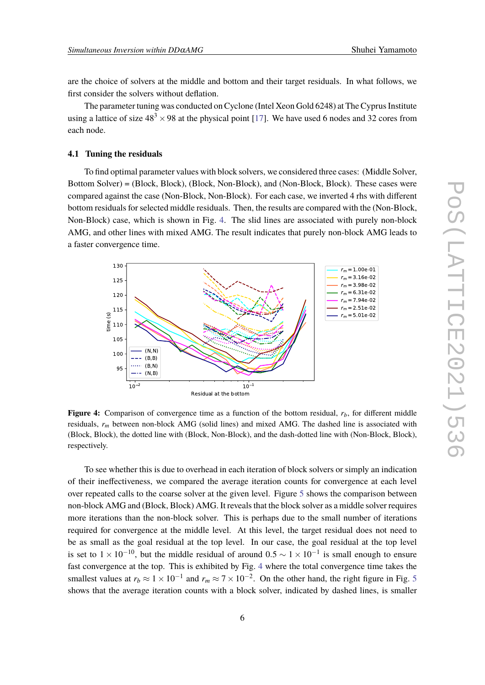are the choice of solvers at the middle and bottom and their target residuals. In what follows, we first consider the solvers without deflation.

The parameter tuning was conducted on Cyclone (Intel Xeon Gold 6248) at The Cyprus Institute using a lattice of size  $48<sup>3</sup> \times 98$  at the physical point [\[17\]](#page-9-1). We have used 6 nodes and 32 cores from each node.

#### **4.1 Tuning the residuals**

To find optimal parameter values with block solvers, we considered three cases: (Middle Solver, Bottom Solver) = (Block, Block), (Block, Non-Block), and (Non-Block, Block). These cases were compared against the case (Non-Block, Non-Block). For each case, we inverted 4 rhs with different bottom residuals for selected middle residuals. Then, the results are compared with the (Non-Block, Non-Block) case, which is shown in Fig. [4.](#page-5-0) The slid lines are associated with purely non-block AMG, and other lines with mixed AMG. The result indicates that purely non-block AMG leads to a faster convergence time.

<span id="page-5-0"></span>

**Figure 4:** Comparison of convergence time as a function of the bottom residual, *rb*, for different middle residuals, *r<sup>m</sup>* between non-block AMG (solid lines) and mixed AMG. The dashed line is associated with (Block, Block), the dotted line with (Block, Non-Block), and the dash-dotted line with (Non-Block, Block), respectively.

To see whether this is due to overhead in each iteration of block solvers or simply an indication of their ineffectiveness, we compared the average iteration counts for convergence at each level over repeated calls to the coarse solver at the given level. Figure [5](#page-6-0) shows the comparison between non-block AMG and (Block, Block) AMG. It reveals that the block solver as a middle solver requires more iterations than the non-block solver. This is perhaps due to the small number of iterations required for convergence at the middle level. At this level, the target residual does not need to be as small as the goal residual at the top level. In our case, the goal residual at the top level is set to  $1 \times 10^{-10}$ , but the middle residual of around  $0.5 \sim 1 \times 10^{-1}$  is small enough to ensure fast convergence at the top. This is exhibited by Fig. [4](#page-5-0) where the total convergence time takes the smallest values at  $r_b \approx 1 \times 10^{-1}$  and  $r_m \approx 7 \times 10^{-2}$ . On the other hand, the right figure in Fig. [5](#page-6-0) shows that the average iteration counts with a block solver, indicated by dashed lines, is smaller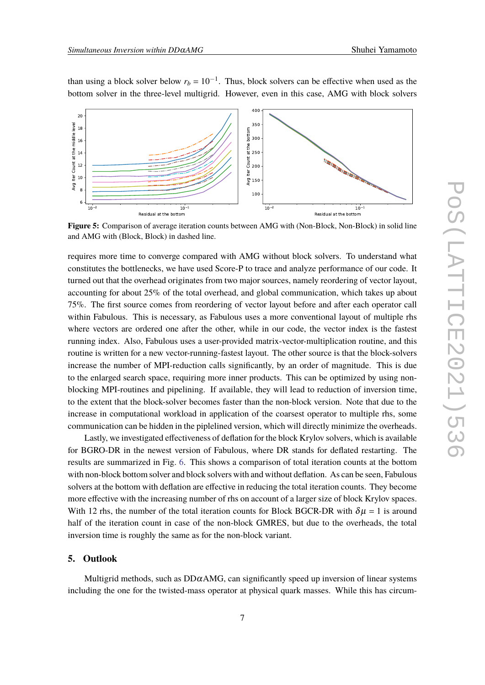<span id="page-6-0"></span>

than using a block solver below  $r_b = 10^{-1}$ . Thus, block solvers can be effective when used as the bottom solver in the three-level multigrid. However, even in this case, AMG with block solvers

**Figure 5:** Comparison of average iteration counts between AMG with (Non-Block, Non-Block) in solid line and AMG with (Block, Block) in dashed line.

requires more time to converge compared with AMG without block solvers. To understand what constitutes the bottlenecks, we have used Score-P to trace and analyze performance of our code. It turned out that the overhead originates from two major sources, namely reordering of vector layout, accounting for about 25% of the total overhead, and global communication, which takes up about 75%. The first source comes from reordering of vector layout before and after each operator call within Fabulous. This is necessary, as Fabulous uses a more conventional layout of multiple rhs where vectors are ordered one after the other, while in our code, the vector index is the fastest running index. Also, Fabulous uses a user-provided matrix-vector-multiplication routine, and this routine is written for a new vector-running-fastest layout. The other source is that the block-solvers increase the number of MPI-reduction calls significantly, by an order of magnitude. This is due to the enlarged search space, requiring more inner products. This can be optimized by using nonblocking MPI-routines and pipelining. If available, they will lead to reduction of inversion time, to the extent that the block-solver becomes faster than the non-block version. Note that due to the increase in computational workload in application of the coarsest operator to multiple rhs, some communication can be hidden in the piplelined version, which will directly minimize the overheads.

Lastly, we investigated effectiveness of deflation for the block Krylov solvers, which is available for BGRO-DR in the newest version of Fabulous, where DR stands for deflated restarting. The results are summarized in Fig. [6.](#page-7-1) This shows a comparison of total iteration counts at the bottom with non-block bottom solver and block solvers with and without deflation. As can be seen, Fabulous solvers at the bottom with deflation are effective in reducing the total iteration counts. They become more effective with the increasing number of rhs on account of a larger size of block Krylov spaces. With 12 rhs, the number of the total iteration counts for Block BGCR-DR with  $\delta \mu = 1$  is around half of the iteration count in case of the non-block GMRES, but due to the overheads, the total inversion time is roughly the same as for the non-block variant.

## **5. Outlook**

Multigrid methods, such as  $DD\alpha$ AMG, can significantly speed up inversion of linear systems including the one for the twisted-mass operator at physical quark masses. While this has circum-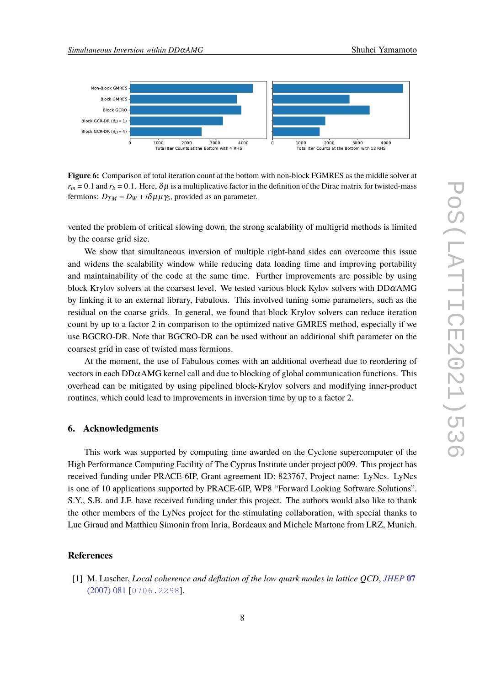<span id="page-7-1"></span>

**Figure 6:** Comparison of total iteration count at the bottom with non-block FGMRES as the middle solver at  $r_m$  = 0.1 and  $r_b$  = 0.1. Here,  $\delta \mu$  is a multiplicative factor in the definition of the Dirac matrix for twisted-mass fermions:  $D_{TM} = D_W + i\delta\mu\mu\gamma_5$ , provided as an parameter.

vented the problem of critical slowing down, the strong scalability of multigrid methods is limited by the coarse grid size.

We show that simultaneous inversion of multiple right-hand sides can overcome this issue and widens the scalability window while reducing data loading time and improving portability and maintainability of the code at the same time. Further improvements are possible by using block Krylov solvers at the coarsest level. We tested various block Kylov solvers with  $DD\alphaAMG$ by linking it to an external library, Fabulous. This involved tuning some parameters, such as the residual on the coarse grids. In general, we found that block Krylov solvers can reduce iteration count by up to a factor 2 in comparison to the optimized native GMRES method, especially if we use BGCRO-DR. Note that BGCRO-DR can be used without an additional shift parameter on the coarsest grid in case of twisted mass fermions.

At the moment, the use of Fabulous comes with an additional overhead due to reordering of vectors in each  $DD\alpha$ AMG kernel call and due to blocking of global communication functions. This overhead can be mitigated by using pipelined block-Krylov solvers and modifying inner-product routines, which could lead to improvements in inversion time by up to a factor 2.

#### **6. Acknowledgments**

This work was supported by computing time awarded on the Cyclone supercomputer of the High Performance Computing Facility of The Cyprus Institute under project p009. This project has received funding under PRACE-6IP, Grant agreement ID: 823767, Project name: LyNcs. LyNcs is one of 10 applications supported by PRACE-6IP, WP8 "Forward Looking Software Solutions". S.Y., S.B. and J.F. have received funding under this project. The authors would also like to thank the other members of the LyNcs project for the stimulating collaboration, with special thanks to Luc Giraud and Matthieu Simonin from Inria, Bordeaux and Michele Martone from LRZ, Munich.

## **References**

<span id="page-7-0"></span>[1] M. Luscher, *Local coherence and deflation of the low quark modes in lattice QCD*, *[JHEP](https://doi.org/10.1088/1126-6708/2007/07/081)* **07** [\(2007\) 081](https://doi.org/10.1088/1126-6708/2007/07/081) [[0706.2298](https://arxiv.org/abs/0706.2298)].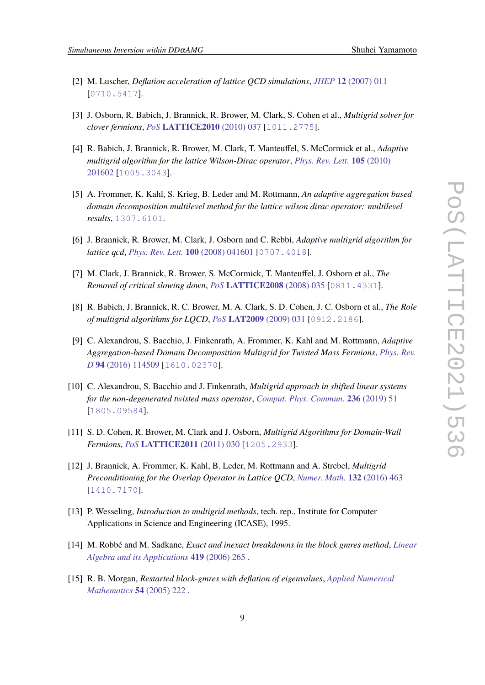- <span id="page-8-8"></span>[2] M. Luscher, *Deflation acceleration of lattice QCD simulations*, *JHEP* **12** [\(2007\) 011](https://doi.org/10.1088/1126-6708/2007/12/011) [[0710.5417](https://arxiv.org/abs/0710.5417)].
- [3] J. Osborn, R. Babich, J. Brannick, R. Brower, M. Clark, S. Cohen et al., *Multigrid solver for clover fermions*, *PoS* **[LATTICE2010](https://doi.org/10.22323/1.105.0037)** (2010) 037 [[1011.2775](https://arxiv.org/abs/1011.2775)].
- <span id="page-8-1"></span>[4] R. Babich, J. Brannick, R. Brower, M. Clark, T. Manteuffel, S. McCormick et al., *Adaptive multigrid algorithm for the lattice Wilson-Dirac operator*, *[Phys. Rev. Lett.](https://doi.org/10.1103/PhysRevLett.105.201602)* **105** (2010) [201602](https://doi.org/10.1103/PhysRevLett.105.201602) [[1005.3043](https://arxiv.org/abs/1005.3043)].
- <span id="page-8-0"></span>[5] A. Frommer, K. Kahl, S. Krieg, B. Leder and M. Rottmann, *An adaptive aggregation based domain decomposition multilevel method for the lattice wilson dirac operator: multilevel results*, [1307.6101](https://arxiv.org/abs/1307.6101).
- <span id="page-8-2"></span>[6] J. Brannick, R. Brower, M. Clark, J. Osborn and C. Rebbi, *Adaptive multigrid algorithm for lattice qcd*, *[Phys. Rev. Lett.](https://doi.org/10.1103/PhysRevLett.100.041601)* **100** (2008) 041601 [[0707.4018](https://arxiv.org/abs/0707.4018)].
- [7] M. Clark, J. Brannick, R. Brower, S. McCormick, T. Manteuffel, J. Osborn et al., *The Removal of critical slowing down*, *PoS* **[LATTICE2008](https://doi.org/10.22323/1.066.0035)** (2008) 035 [[0811.4331](https://arxiv.org/abs/0811.4331)].
- <span id="page-8-3"></span>[8] R. Babich, J. Brannick, R. C. Brower, M. A. Clark, S. D. Cohen, J. C. Osborn et al., *The Role of multigrid algorithms for LQCD*, *PoS* **[LAT2009](https://doi.org/10.22323/1.091.0031)** (2009) 031 [[0912.2186](https://arxiv.org/abs/0912.2186)].
- <span id="page-8-4"></span>[9] C. Alexandrou, S. Bacchio, J. Finkenrath, A. Frommer, K. Kahl and M. Rottmann, *Adaptive Aggregation-based Domain Decomposition Multigrid for Twisted Mass Fermions*, *[Phys. Rev.](https://doi.org/10.1103/PhysRevD.94.114509) D* **94** [\(2016\) 114509](https://doi.org/10.1103/PhysRevD.94.114509) [[1610.02370](https://arxiv.org/abs/1610.02370)].
- <span id="page-8-5"></span>[10] C. Alexandrou, S. Bacchio and J. Finkenrath, *Multigrid approach in shifted linear systems for the non-degenerated twisted mass operator*, *[Comput. Phys. Commun.](https://doi.org/10.1016/j.cpc.2018.10.013)* **236** (2019) 51 [[1805.09584](https://arxiv.org/abs/1805.09584)].
- <span id="page-8-6"></span>[11] S. D. Cohen, R. Brower, M. Clark and J. Osborn, *Multigrid Algorithms for Domain-Wall Fermions*, *PoS* **[LATTICE2011](https://doi.org/10.22323/1.139.0030)** (2011) 030 [[1205.2933](https://arxiv.org/abs/1205.2933)].
- <span id="page-8-7"></span>[12] J. Brannick, A. Frommer, K. Kahl, B. Leder, M. Rottmann and A. Strebel, *Multigrid Preconditioning for the Overlap Operator in Lattice QCD*, *[Numer. Math.](https://doi.org/10.1007/s00211-015-0725-6)* **132** (2016) 463 [[1410.7170](https://arxiv.org/abs/1410.7170)].
- <span id="page-8-9"></span>[13] P. Wesseling, *Introduction to multigrid methods*, tech. rep., Institute for Computer Applications in Science and Engineering (ICASE), 1995.
- <span id="page-8-10"></span>[14] M. Robbé and M. Sadkane, *Exact and inexact breakdowns in the block gmres method*, *[Linear](https://doi.org/https://doi.org/10.1016/j.laa.2006.04.018) [Algebra and its Applications](https://doi.org/https://doi.org/10.1016/j.laa.2006.04.018)* **419** (2006) 265 .
- [15] R. B. Morgan, *Restarted block-gmres with deflation of eigenvalues*, *[Applied Numerical](https://doi.org/https://doi.org/10.1016/j.apnum.2004.09.028) [Mathematics](https://doi.org/https://doi.org/10.1016/j.apnum.2004.09.028)* **54** (2005) 222 .